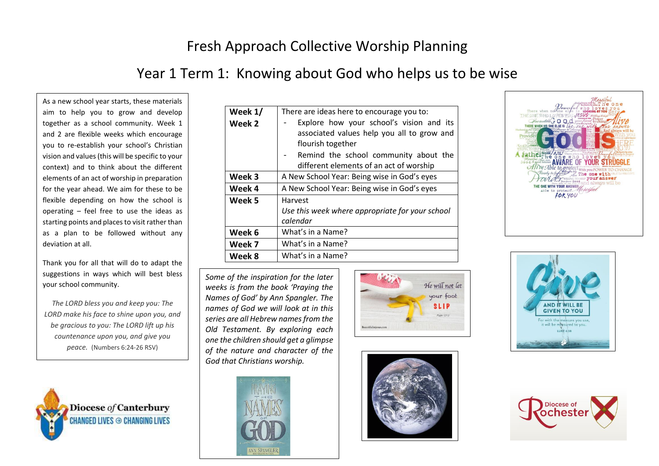# Fresh Approach Collective Worship Planning

## Year 1 Term 1: Knowing about God who helps us to be wise

As a new school year starts, these materials aim to help you to grow and develop together as a school community. Week 1 and 2 are flexible weeks which encourage you to re-establish your school's Christian vision and values(this will be specific to your context) and to think about the different elements of an act of worship in preparation for the year ahead. We aim for these to be flexible depending on how the school is operating – feel free to use the ideas as starting points and places to visit rather than as a plan to be followed without any deviation at all.

Thank you for all that will do to adapt the suggestions in ways which will best bless your school community.

*The LORD bless you and keep you: The LORD make his face to shine upon you, and be gracious to you: The LORD lift up his countenance upon you, and give you peace.* (Numbers 6:24-26 RSV)



| Week 1/ | There are ideas here to encourage you to:                                                                                                                                                       |  |  |
|---------|-------------------------------------------------------------------------------------------------------------------------------------------------------------------------------------------------|--|--|
| Week 2  | Explore how your school's vision and its<br>associated values help you all to grow and<br>flourish together<br>Remind the school community about the<br>different elements of an act of worship |  |  |
| Week 3  | A New School Year: Being wise in God's eyes                                                                                                                                                     |  |  |
| Week 4  | A New School Year: Being wise in God's eyes                                                                                                                                                     |  |  |
| Week 5  | Harvest<br>Use this week where appropriate for your school<br>calendar                                                                                                                          |  |  |
| Week 6  | What's in a Name?                                                                                                                                                                               |  |  |
| Week 7  | What's in a Name?                                                                                                                                                                               |  |  |
| Week 8  | What's in a Name?                                                                                                                                                                               |  |  |

*Some of the inspiration for the later weeks is from the book 'Praying the Names of God' by Ann Spangler. The names of God we will look at in this series are all Hebrew names from the Old Testament. By exploring each one the children should get a glimpse of the nature and character of the God that Christians worship.* 



 $\overline{a}$ 









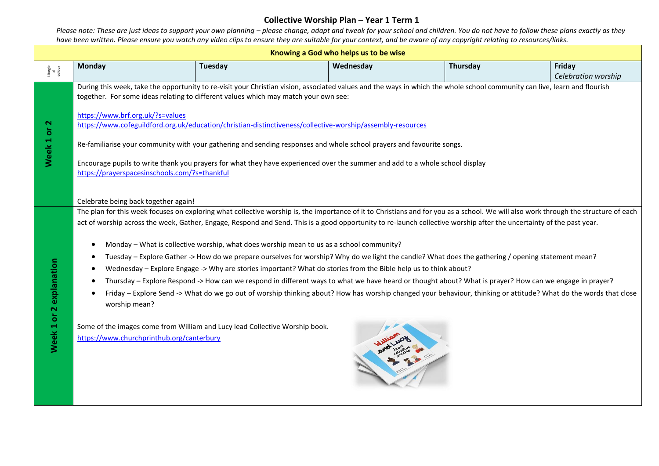| Knowing a God who helps us to be wise   |                                                                                                                                                                                                                                                                                                                                                                                                                                                                                                                                                                                                                                                                                                                                                                                                                                                                                                                                                                                                                                                                                                                                                                                                                                                      |         |           |          |                               |  |
|-----------------------------------------|------------------------------------------------------------------------------------------------------------------------------------------------------------------------------------------------------------------------------------------------------------------------------------------------------------------------------------------------------------------------------------------------------------------------------------------------------------------------------------------------------------------------------------------------------------------------------------------------------------------------------------------------------------------------------------------------------------------------------------------------------------------------------------------------------------------------------------------------------------------------------------------------------------------------------------------------------------------------------------------------------------------------------------------------------------------------------------------------------------------------------------------------------------------------------------------------------------------------------------------------------|---------|-----------|----------|-------------------------------|--|
| liturgic<br>al<br>colour                | <b>Monday</b>                                                                                                                                                                                                                                                                                                                                                                                                                                                                                                                                                                                                                                                                                                                                                                                                                                                                                                                                                                                                                                                                                                                                                                                                                                        | Tuesday | Wednesday | Thursday | Friday<br>Celebration worship |  |
| Week 1 or 2                             | During this week, take the opportunity to re-visit your Christian vision, associated values and the ways in which the whole school community can live, learn and flourish<br>together. For some ideas relating to different values which may match your own see:<br>https://www.brf.org.uk/?s=values<br>https://www.cofeguildford.org.uk/education/christian-distinctiveness/collective-worship/assembly-resources<br>Re-familiarise your community with your gathering and sending responses and whole school prayers and favourite songs.<br>Encourage pupils to write thank you prayers for what they have experienced over the summer and add to a whole school display<br>https://prayerspacesinschools.com/?s=thankful                                                                                                                                                                                                                                                                                                                                                                                                                                                                                                                         |         |           |          |                               |  |
| explanation<br>$\mathbf N$<br>Week 1 or | Celebrate being back together again!<br>The plan for this week focuses on exploring what collective worship is, the importance of it to Christians and for you as a school. We will also work through the structure of each<br>act of worship across the week, Gather, Engage, Respond and Send. This is a good opportunity to re-launch collective worship after the uncertainty of the past year.<br>Monday - What is collective worship, what does worship mean to us as a school community?<br>Tuesday - Explore Gather -> How do we prepare ourselves for worship? Why do we light the candle? What does the gathering / opening statement mean?<br>Wednesday - Explore Engage -> Why are stories important? What do stories from the Bible help us to think about?<br>Thursday - Explore Respond -> How can we respond in different ways to what we have heard or thought about? What is prayer? How can we engage in prayer?<br>Friday – Explore Send -> What do we go out of worship thinking about? How has worship changed your behaviour, thinking or attitude? What do the words that close<br>worship mean?<br>Some of the images come from William and Lucy lead Collective Worship book.<br>https://www.churchprinthub.org/canterbury |         |           |          |                               |  |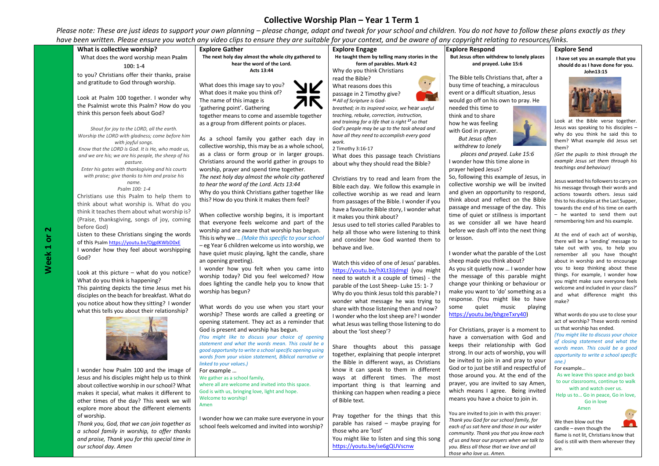Please note: These are just ideas to support your own planning – please change, adapt and tweak for your school and children. You do not have to follow these plans exactly as they have been written. Please ensure you watch any video clips to ensure they are suitable for your context, and be aware of any copyright relating to *resources/links*.

| What is collective worship?                                                                              | <b>Explore Gather</b>                                                                                   | <b>Explore Engage</b>                                                                     | <b>Explore Respond</b>                                                                | <b>Explore Send</b>                                                            |
|----------------------------------------------------------------------------------------------------------|---------------------------------------------------------------------------------------------------------|-------------------------------------------------------------------------------------------|---------------------------------------------------------------------------------------|--------------------------------------------------------------------------------|
| What does the word worship mean Psalm                                                                    | The next holy day almost the whole city gathered to                                                     | He taught them by telling many stories in the                                             | But Jesus often withdrew to lonely places                                             | I have set you an example that you                                             |
| $100:1-4$                                                                                                | hear the word of the Lord.                                                                              | form of parables. Mark 4:2                                                                | and prayed. Luke 15:6                                                                 | should do as I have done for you.                                              |
| to you? Christians offer their thanks, praise                                                            | Acts 13:44                                                                                              | Why do you think Christians                                                               |                                                                                       | John13:15                                                                      |
| and gratitude to God through worship.                                                                    |                                                                                                         | read the Bible?<br>$\cdot$ , ,                                                            | The Bible tells Christians that, after a                                              |                                                                                |
|                                                                                                          | What does this image say to you?                                                                        | What reasons does this                                                                    | busy time of teaching, a miraculous                                                   |                                                                                |
| Look at Psalm 100 together. I wonder why                                                                 | What does it make you think of?<br>The name of this image is                                            | passage in 2 Timothy give?                                                                | event or a difficult situation, Jesus<br>would go off on his own to pray. He          |                                                                                |
| the Psalmist wrote this Psalm? How do you                                                                | 'gathering point'. Gathering                                                                            | <sup>16</sup> All of Scripture is God-<br>breathed; in its inspired voice, we hear useful | needed this time to                                                                   |                                                                                |
| think this person feels about God?                                                                       | together means to come and assemble together                                                            | teaching, rebuke, correction, instruction,                                                | think and to share                                                                    |                                                                                |
|                                                                                                          | as a group from different points or places.                                                             | and training for a life that is right <sup>17</sup> so that                               | how he was feeling                                                                    | Look at the Bible verse together.                                              |
| Shout for joy to the LORD, all the earth.                                                                |                                                                                                         | God's people may be up to the task ahead and                                              | with God in prayer.                                                                   | Jesus was speaking to his disciples -                                          |
| Worship the LORD with gladness; come before him                                                          | As a school family you gather each day in                                                               | have all they need to accomplish every good                                               | <b>But Jesus often</b>                                                                | why do you think he said this to                                               |
| with joyful songs.                                                                                       | collective worship, this may be as a whole school,                                                      | work.<br>2 Timothy 3:16-17                                                                | withdrew to lonely                                                                    | them? What example did Jesus set<br>them?                                      |
| Know that the LORD is God. It is He, who made us,<br>and we are his; we are his people, the sheep of his | as a class or form group or in larger groups.                                                           | What does this passage teach Christians                                                   | places and prayed. Luke 15:6                                                          | (Get the pupils to think through the                                           |
| pasture.                                                                                                 | Christians around the world gather in groups to                                                         | about why they should read the Bible?                                                     | I wonder how this time alone in                                                       | example Jesus set them through his                                             |
| Enter his gates with thanksgiving and his courts                                                         | worship, prayer and spend time together.                                                                |                                                                                           | prayer helped Jesus?                                                                  | teachings and behaviour)                                                       |
| with praise; give thanks to him and praise his                                                           | The next holy day almost the whole city gathered                                                        | Christians try to read and learn from the                                                 | So, following this example of Jesus, in                                               |                                                                                |
| name.                                                                                                    | to hear the word of the Lord. Acts 13:44                                                                | Bible each day. We follow this example in                                                 | collective worship we will be invited                                                 | Jesus wanted his followers to carry on<br>his message through their words and  |
| Psalm 100: 1-4<br>Christians use this Psalm to help them to                                              | Why do you think Christians gather together like                                                        | collective worship as we read and learn                                                   | and given an opportunity to respond,                                                  | actions towards others. Jesus said                                             |
| think about what worship is. What do you                                                                 | this? How do you think it makes them feel?                                                              | from passages of the Bible. I wonder if you                                               | think about and reflect on the Bible                                                  | this to his disciples at the Last Supper,                                      |
| think it teaches them about what worship is?                                                             |                                                                                                         | have a favourite Bible story, I wonder what                                               | passage and message of the day. This                                                  | towards the end of his time on earth                                           |
| (Praise, thanksgiving, songs of joy, coming                                                              | When collective worship begins, it is important                                                         | it makes you think about?                                                                 | time of quiet or stillness is important                                               | - he wanted to send them out<br>remembering him and his example.               |
| before God)                                                                                              | that everyone feels welcome and part of the                                                             | Jesus used to tell stories called Parables to                                             | as we consider all we have heard                                                      |                                                                                |
| Listen to these Christians singing the words                                                             | worship and are aware that worship has begun.                                                           | help all those who were listening to think                                                | before we dash off into the next thing                                                | At the end of each act of worship,                                             |
| of this Psalm https://youtu.be/OjgdKWbD0xE                                                               | This is why we  (Make this specific to your school<br>- eg Year 6 children welcome us into worship, we  | and consider how God wanted them to                                                       | or lesson.                                                                            | there will be a 'sending' message to                                           |
| I wonder how they feel about worshipping                                                                 | have quiet music playing, light the candle, share                                                       | behave and live.                                                                          | I wonder what the parable of the Lost                                                 | take out with you, to help you                                                 |
| God?                                                                                                     | an opening greeting).                                                                                   |                                                                                           | sheep made you think about?                                                           | remember all you have thought<br>about in worship and to encourage             |
|                                                                                                          | I wonder how you felt when you came into                                                                | Watch this video of one of Jesus' parables.                                               | As you sit quietly now  I wonder how                                                  | you to keep thinking about these                                               |
| Look at this picture $-$ what do you notice?                                                             | worship today? Did you feel welcomed? How                                                               | https://voutu.be/hXLt3Jjdmgl (you might<br>need to watch it a couple of times) - the      | the message of this parable might                                                     | things. For example, I wonder how                                              |
| What do you think is happening?                                                                          | does lighting the candle help you to know that                                                          | parable of the Lost Sheep- Luke 15: 1-7                                                   | change your thinking or behaviour or                                                  | you might make sure everyone feels                                             |
| This painting depicts the time Jesus met his                                                             | worship has begun?                                                                                      | Why do you think Jesus told this parable? I                                               | make you want to 'do' something as a                                                  | welcome and included in your class?'<br>and what difference might this         |
| disciples on the beach for breakfast. What do                                                            |                                                                                                         | wonder what message he was trying to                                                      | response. (You might like to have                                                     | make?                                                                          |
| you notice about how they sitting? I wonder                                                              | What words do you use when you start your                                                               | share with those listening then and now?                                                  | quiet music<br>playing<br>some                                                        |                                                                                |
| what this tells you about their relationship?                                                            | worship? These words are called a greeting or                                                           | I wonder who the lost sheep are? I wonder                                                 | https://youtu.be/bhgzeTxry40)                                                         | What words do you use to close your                                            |
|                                                                                                          | opening statement. They act as a reminder that                                                          | what Jesus was telling those listening to do                                              |                                                                                       | act of worship? These words remind                                             |
|                                                                                                          | God is present and worship has begun.                                                                   | about the 'lost sheep'?                                                                   | For Christians, prayer is a moment to                                                 | us that worship has ended.<br>(You might like to discuss your choice           |
|                                                                                                          | (You might like to discuss your choice of opening<br>statement and what the words mean. This could be a |                                                                                           | have a conversation with God and                                                      | of closing statement and what the                                              |
|                                                                                                          | good opportunity to write a school specific opening using                                               | Share thoughts about this passage                                                         | keeps their relationship with God                                                     | words mean. This could be a good                                               |
|                                                                                                          | words from your vision statement, Biblical narrative or                                                 | together, explaining that people interpret                                                | strong. In our acts of worship, you will                                              | opportunity to write a school specific                                         |
|                                                                                                          | linked to your values.)                                                                                 | the Bible in different ways, as Christians                                                | be invited to join in and pray to your                                                | one.)                                                                          |
| I wonder how Psalm 100 and the image of                                                                  | For example                                                                                             | know it can speak to them in different                                                    | God or to just be still and respectful of<br>those around you. At the end of the      | For example<br>As we leave this space and go back                              |
| Jesus and his disciples might help us to think                                                           | We gather as a school family,                                                                           | ways at different times. The most                                                         | prayer, you are invited to say Amen,                                                  | to our classrooms, continue to walk                                            |
| about collective worship in our school? What                                                             | where all are welcome and invited into this space.<br>God is with us, bringing love, light and hope.    | important thing is that learning and                                                      | which means I agree. Being invited                                                    | with and watch over us.                                                        |
| makes it special, what makes it different to                                                             | Welcome to worship!                                                                                     | thinking can happen when reading a piece<br>of Bible text.                                | means you have a choice to join in.                                                   | Help us to Go in peace, Go in love,                                            |
| other times of the day? This week we will                                                                | Amen                                                                                                    |                                                                                           |                                                                                       | Go in love<br>Amen                                                             |
| explore more about the different elements<br>of worship.                                                 |                                                                                                         | Pray together for the things that this                                                    | You are invited to join in with this prayer:                                          |                                                                                |
| Thank you, God, that we can join together as                                                             | I wonder how we can make sure everyone in your                                                          | parable has raised - maybe praying for                                                    | Thank you God for our school family, for                                              | We then blow out the                                                           |
| a school family in worship, to offer thanks                                                              | school feels welcomed and invited into worship?                                                         | those who are 'lost'                                                                      | each of us sat here and those in our wider                                            | candle - even though the                                                       |
| and praise, Thank you for this special time in                                                           |                                                                                                         | You might like to listen and sing this song                                               | community. Thank you that you know each<br>of us and hear our pravers when we talk to | flame is not lit, Christians know that<br>Cod is still with them wherever they |

<https://youtu.be/se6gQUVscnw>

*of us and hear our prayers when we talk to you. Bless all those that we love and all* 

God is still with them wherever they

are.

*those who love us. Amen.* 

**Week 1 or 2**

*our school day. Amen*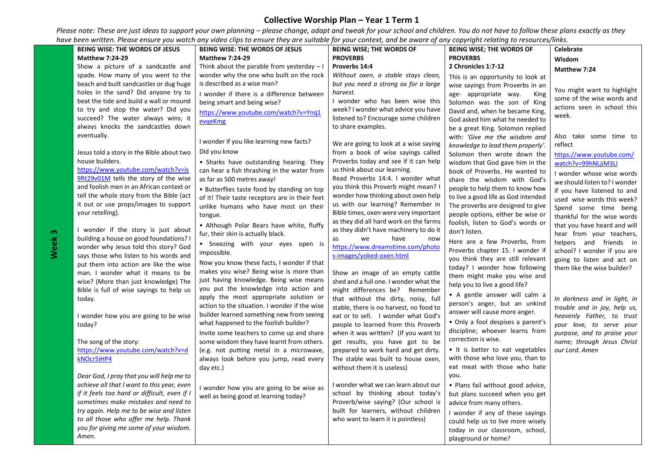| <b>BEING WISE: THE WORDS OF JESUS</b>                                           | <b>BEING WISE: THE WORDS OF JESUS</b>          | <b>BEING WISE; THE WORDS OF</b>                                           | <b>BEING WISE; THE WORDS OF</b>                                        | <b>Celebrate</b>                                          |
|---------------------------------------------------------------------------------|------------------------------------------------|---------------------------------------------------------------------------|------------------------------------------------------------------------|-----------------------------------------------------------|
| <b>Matthew 7:24-29</b>                                                          | <b>Matthew 7:24-29</b>                         | <b>PROVERBS</b>                                                           | <b>PROVERBS</b>                                                        | Wisdom                                                    |
| Show a picture of a sandcastle and                                              | Think about the parable from yesterday $-1$    | Proverbs 14:4                                                             | 2 Chronicles 1:7-12                                                    | Matthew 7:24                                              |
| spade. How many of you went to the                                              | wonder why the one who built on the rock       | Without oxen, a stable stays clean,                                       | This is an opportunity to look at                                      |                                                           |
| beach and built sandcastles or dug huge                                         | is described as a wise man?                    | but you need a strong ox for a large                                      | wise sayings from Proverbs in an                                       |                                                           |
| holes in the sand? Did anyone try to                                            | I wonder if there is a difference between      | harvest.                                                                  | age- appropriate way.<br>King                                          | You might want to highlight<br>some of the wise words and |
| beat the tide and build a wall or mound                                         | being smart and being wise?                    | I wonder who has been wise this                                           | Solomon was the son of King                                            | actions seen in school this                               |
| to try and stop the water? Did you                                              | https://www.youtube.com/watch?v=Yng1           | week? I wonder what advice you have                                       | David and, when he became King,                                        | week.                                                     |
| succeed? The water always wins; it                                              | evgeKmg                                        | listened to? Encourage some children                                      | God asked him what he needed to                                        |                                                           |
| always knocks the sandcastles down                                              |                                                | to share examples.                                                        | be a great King. Solomon replied                                       |                                                           |
| eventually.                                                                     | I wonder if you like learning new facts?       |                                                                           | with: 'Give me the wisdom and                                          | Also take some time to                                    |
|                                                                                 |                                                | We are going to look at a wise saying                                     | knowledge to lead them properly'.                                      | reflect                                                   |
| Jesus told a story in the Bible about two                                       | Did you know                                   | from a book of wise sayings called                                        | Solomon then wrote down the                                            | https://www.youtube.com/                                  |
| house builders.                                                                 | • Sharks have outstanding hearing. They        | Proverbs today and see if it can help                                     | wisdom that God gave him in the                                        | watch?v=99hNLjiM3LI                                       |
| https://www.youtube.com/watch?v=is<br>9Rt29v01M tells the story of the wise     | can hear a fish thrashing in the water from    | us think about our learning.                                              | book of Proverbs. He wanted to                                         | I wonder whose wise words                                 |
| and foolish men in an African context or                                        | as far as 500 metres away!                     | Read Proverbs 14:4. I wonder what<br>you think this Proverb might mean? I | share the wisdom with God's                                            | we should listen to? I wonder                             |
| tell the whole story from the Bible (act                                        | • Butterflies taste food by standing on top    | wonder how thinking about oxen help                                       | people to help them to know how                                        | if you have listened to and                               |
| it out or use props/images to support                                           | of it! Their taste receptors are in their feet | us with our learning? Remember in                                         | to live a good life as God intended                                    | used wise words this week?                                |
| your retelling).                                                                | unlike humans who have most on their           | Bible times, oxen were very important                                     | The proverbs are designed to give<br>people options, either be wise or | Spend some time being                                     |
|                                                                                 | tongue.                                        | as they did all hard work on the farms                                    | foolish, listen to God's words or                                      | thankful for the wise words                               |
| I wonder if the story is just about                                             | • Although Polar Bears have white, fluffy      | as they didn't have machinery to do it                                    | don't listen.                                                          | that you have heard and will                              |
| building a house on good foundations? I                                         | fur, their skin is actually black.             | we<br>have<br>as<br>now                                                   |                                                                        | hear from your teachers,                                  |
| wonder why Jesus told this story? God                                           | • Sneezing with your eyes open is              | https://www.dreamstime.com/photo                                          | Here are a few Proverbs, from                                          | helpers and friends in                                    |
| says those who listen to his words and                                          | impossible.                                    | s-images/yoked-oxen.html                                                  | Proverbs chapter 15. I wonder if                                       | school? I wonder if you are                               |
| put them into action are like the wise                                          | Now you know these facts, I wonder if that     |                                                                           | you think they are still relevant<br>today? I wonder how following     | going to listen and act on                                |
| man. I wonder what it means to be                                               | makes you wise? Being wise is more than        | Show an image of an empty cattle                                          | them might make you wise and                                           | them like the wise builder?                               |
| wise? (More than just knowledge) The                                            | just having knowledge. Being wise means        | shed and a full one. I wonder what the                                    | help you to live a good life?                                          |                                                           |
| Bible is full of wise sayings to help us                                        | you put the knowledge into action and          | might differences be? Remember                                            |                                                                        |                                                           |
| today.                                                                          | apply the most appropriate solution or         | that without the dirty, noisy, full                                       | • A gentle answer will calm a<br>person's anger, but an unkind         | In darkness and in light, in                              |
|                                                                                 | action to the situation. I wonder if the wise  | stable, there is no harvest, no food to                                   | answer will cause more anger.                                          | trouble and in joy, help us,                              |
| I wonder how you are going to be wise                                           | builder learned something new from seeing      | eat or to sell. I wonder what God's                                       |                                                                        | heavenly Father, to trust                                 |
| today?                                                                          | what happened to the foolish builder?          | people to learned from this Proverb                                       | • Only a fool despises a parent's                                      | your love, to serve your                                  |
|                                                                                 | Invite some teachers to come up and share      | when it was written? (If you want to                                      | discipline; whoever learns from<br>correction is wise.                 | purpose, and to praise your                               |
| The song of the story:                                                          | some wisdom they have learnt from others.      | get results, you have got to be                                           |                                                                        | name; through Jesus Christ                                |
| https://www.youtube.com/watch?v=d                                               | (e.g. not putting metal in a microwave,        | prepared to work hard and get dirty.                                      | • It is better to eat vegetables                                       | our Lord. Amen                                            |
| kNOcr5iHP4                                                                      | always look before you jump, read every        | The stable was built to house oxen,                                       | with those who love you, than to                                       |                                                           |
|                                                                                 | day etc.)                                      | without them it is useless)                                               | eat meat with those who hate<br>you.                                   |                                                           |
| Dear God, I pray that you will help me to                                       |                                                |                                                                           |                                                                        |                                                           |
| achieve all that I want to this year, even                                      | I wonder how you are going to be wise as       | I wonder what we can learn about our<br>school by thinking about today's  | · Plans fail without good advice,                                      |                                                           |
| if it feels too hard or difficult, even if I                                    | well as being good at learning today?          | Proverb/wise saying? (Our school is                                       | but plans succeed when you get                                         |                                                           |
| sometimes make mistakes and need to<br>try again. Help me to be wise and listen |                                                | built for learners, without children                                      | advice from many others.                                               |                                                           |
| to all those who offer me help. Thank                                           |                                                | who want to learn it is pointless)                                        | I wonder if any of these sayings                                       |                                                           |
| you for giving me some of your wisdom.                                          |                                                |                                                                           | could help us to live more wisely                                      |                                                           |
| Amen.                                                                           |                                                |                                                                           | today in our classroom, school,                                        |                                                           |
|                                                                                 |                                                |                                                                           | playground or home?                                                    |                                                           |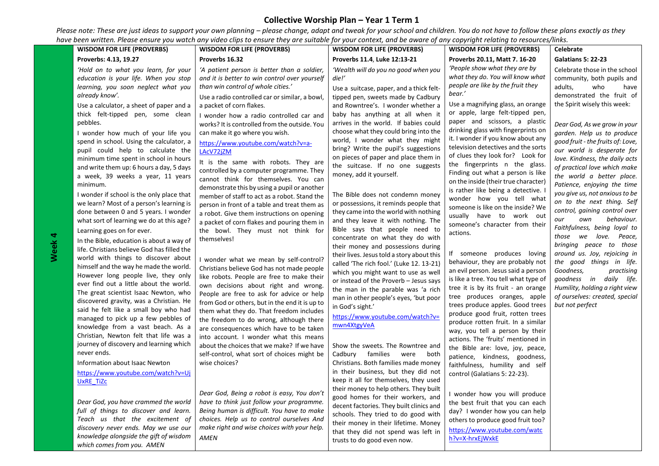|                                                                                                                                                                                                                                                                                                                                                                                                                                                                                                                                                                                                                                                                                                                                                                                                                                                                                                                                                                                                                                                                                                                                                                                                                                                                                         |                                                                                                                                                                                                                                                                                                                                                                                                                                                                                                                                                                                                                                                                                                                                                                                                                                                                                                                                                                                                                                                                                                                                                                                                                                                                                                                                                                                      | <b>WISDOM FOR LIFE (PROVERBS)</b>                                                                                                                                                                                                                                                                                                                                                                                                                                                                                                                                                                                                                                                                                                                                                                                                                                                                                                                                                                                                                                                                                                                                    | <b>WISDOM FOR LIFE (PROVERBS)</b>                                                                                                                                                                                                                                                                                                                                                                                                                                                                                                                                                                                                                                                                                                                                                                                                                                                                                                                                                                                                                                                                                                                                       | <b>Celebrate</b>                                                                                                                                                                                                                                                                                                                                                                                                                                                                                                                                                                                                                                                                                                                                                                                                                            |
|-----------------------------------------------------------------------------------------------------------------------------------------------------------------------------------------------------------------------------------------------------------------------------------------------------------------------------------------------------------------------------------------------------------------------------------------------------------------------------------------------------------------------------------------------------------------------------------------------------------------------------------------------------------------------------------------------------------------------------------------------------------------------------------------------------------------------------------------------------------------------------------------------------------------------------------------------------------------------------------------------------------------------------------------------------------------------------------------------------------------------------------------------------------------------------------------------------------------------------------------------------------------------------------------|--------------------------------------------------------------------------------------------------------------------------------------------------------------------------------------------------------------------------------------------------------------------------------------------------------------------------------------------------------------------------------------------------------------------------------------------------------------------------------------------------------------------------------------------------------------------------------------------------------------------------------------------------------------------------------------------------------------------------------------------------------------------------------------------------------------------------------------------------------------------------------------------------------------------------------------------------------------------------------------------------------------------------------------------------------------------------------------------------------------------------------------------------------------------------------------------------------------------------------------------------------------------------------------------------------------------------------------------------------------------------------------|----------------------------------------------------------------------------------------------------------------------------------------------------------------------------------------------------------------------------------------------------------------------------------------------------------------------------------------------------------------------------------------------------------------------------------------------------------------------------------------------------------------------------------------------------------------------------------------------------------------------------------------------------------------------------------------------------------------------------------------------------------------------------------------------------------------------------------------------------------------------------------------------------------------------------------------------------------------------------------------------------------------------------------------------------------------------------------------------------------------------------------------------------------------------|-------------------------------------------------------------------------------------------------------------------------------------------------------------------------------------------------------------------------------------------------------------------------------------------------------------------------------------------------------------------------------------------------------------------------------------------------------------------------------------------------------------------------------------------------------------------------------------------------------------------------------------------------------------------------------------------------------------------------------------------------------------------------------------------------------------------------------------------------------------------------------------------------------------------------------------------------------------------------------------------------------------------------------------------------------------------------------------------------------------------------------------------------------------------------|---------------------------------------------------------------------------------------------------------------------------------------------------------------------------------------------------------------------------------------------------------------------------------------------------------------------------------------------------------------------------------------------------------------------------------------------------------------------------------------------------------------------------------------------------------------------------------------------------------------------------------------------------------------------------------------------------------------------------------------------------------------------------------------------------------------------------------------------|
| Proverbs: 4.13, 19.27                                                                                                                                                                                                                                                                                                                                                                                                                                                                                                                                                                                                                                                                                                                                                                                                                                                                                                                                                                                                                                                                                                                                                                                                                                                                   | Proverbs 16.32                                                                                                                                                                                                                                                                                                                                                                                                                                                                                                                                                                                                                                                                                                                                                                                                                                                                                                                                                                                                                                                                                                                                                                                                                                                                                                                                                                       | Proverbs 11.4, Luke 12:13-21                                                                                                                                                                                                                                                                                                                                                                                                                                                                                                                                                                                                                                                                                                                                                                                                                                                                                                                                                                                                                                                                                                                                         | Proverbs 20.11, Matt 7. 16-20                                                                                                                                                                                                                                                                                                                                                                                                                                                                                                                                                                                                                                                                                                                                                                                                                                                                                                                                                                                                                                                                                                                                           | <b>Galatians 5: 22-23</b>                                                                                                                                                                                                                                                                                                                                                                                                                                                                                                                                                                                                                                                                                                                                                                                                                   |
| 'Hold on to what you learn, for your<br>education is your life. When you stop<br>learning, you soon neglect what you<br>already know'.<br>Use a calculator, a sheet of paper and a<br>thick felt-tipped pen, some clean<br>pebbles.<br>I wonder how much of your life you<br>spend in school. Using the calculator, a<br>pupil could help to calculate the<br>minimum time spent in school in hours<br>and write them up: 6 hours a day, 5 days<br>a week, 39 weeks a year, 11 years<br>minimum.<br>I wonder if school is the only place that<br>we learn? Most of a person's learning is<br>done between 0 and 5 years. I wonder<br>what sort of learning we do at this age?<br>Learning goes on for ever.<br>In the Bible, education is about a way of<br>life. Christians believe God has filled the<br>world with things to discover about<br>himself and the way he made the world.<br>However long people live, they only<br>ever find out a little about the world.<br>The great scientist Isaac Newton, who<br>discovered gravity, was a Christian. He<br>said he felt like a small boy who had<br>managed to pick up a few pebbles of<br>knowledge from a vast beach. As a<br>Christian, Newton felt that life was a<br>journey of discovery and learning which<br>never ends. | 'A patient person is better than a soldier,<br>and it is better to win control over yourself<br>than win control of whole cities.'<br>Use a radio controlled car or similar, a bowl,<br>a packet of corn flakes.<br>I wonder how a radio controlled car and<br>works? It is controlled from the outside. You<br>can make it go where you wish.<br>https://www.youtube.com/watch?v=a-<br>LAcV72jZM<br>It is the same with robots. They are<br>controlled by a computer programme. They<br>cannot think for themselves. You can<br>demonstrate this by using a pupil or another<br>member of staff to act as a robot. Stand the<br>person in front of a table and treat them as<br>a robot. Give them instructions on opening<br>a packet of corn flakes and pouring them in<br>the bowl. They must not think for<br>themselves!<br>I wonder what we mean by self-control?<br>Christians believe God has not made people<br>like robots. People are free to make their<br>own decisions about right and wrong.<br>People are free to ask for advice or help<br>from God or others, but in the end it is up to<br>them what they do. That freedom includes<br>the freedom to do wrong, although there<br>are consequences which have to be taken<br>into account. I wonder what this means<br>about the choices that we make? If we have<br>self-control, what sort of choices might be | 'Wealth will do you no good when you<br>die!'<br>Use a suitcase, paper, and a thick felt-<br>tipped pen, sweets made by Cadbury<br>and Rowntree's. I wonder whether a<br>baby has anything at all when it<br>arrives in the world. If babies could<br>choose what they could bring into the<br>world, I wonder what they might<br>bring? Write the pupil's suggestions<br>on pieces of paper and place them in<br>the suitcase. If no one suggests<br>money, add it yourself.<br>The Bible does not condemn money<br>or possessions, it reminds people that<br>they came into the world with nothing<br>and they leave it with nothing. The<br>Bible says that people need to<br>concentrate on what they do with<br>their money and possessions during<br>their lives. Jesus told a story about this<br>called 'The rich fool.' (Luke 12. 13-21)<br>which you might want to use as well<br>or instead of the Proverb - Jesus says<br>the man in the parable was 'a rich<br>man in other people's eyes, 'but poor<br>in God's sight.'<br>https://www.youtube.com/watch?v=<br>mwn4XtgyVeA<br>Show the sweets. The Rowntree and<br>families<br>Cadbury<br>were<br>both | 'People show what they are by<br>what they do. You will know what<br>people are like by the fruit they<br>bear.'<br>Use a magnifying glass, an orange<br>or apple, large felt-tipped pen,<br>paper and scissors, a plastic<br>drinking glass with fingerprints on<br>it. I wonder if you know about any<br>television detectives and the sorts<br>of clues they look for? Look for<br>the fingerprints n the glass.<br>Finding out what a person is like<br>on the inside (their true character)<br>is rather like being a detective. I<br>wonder how you tell what<br>someone is like on the inside? We<br>usually have to work out<br>someone's character from their<br>actions.<br>If someone produces loving<br>behaviour, they are probably not<br>an evil person. Jesus said a person<br>is like a tree. You tell what type of<br>tree it is by its fruit - an orange<br>tree produces oranges, apple<br>trees produce apples. Good trees<br>produce good fruit, rotten trees<br>produce rotten fruit. In a similar<br>way, you tell a person by their<br>actions. The 'fruits' mentioned in<br>the Bible are: love, joy, peace,<br>patience, kindness, goodness, | Celebrate those in the school<br>community, both pupils and<br>adults,<br>who<br>have<br>demonstrated the fruit of<br>the Spirit wisely this week:<br>Dear God, As we grow in your<br>garden. Help us to produce<br>good fruit - the fruits of: Love,<br>our world is desperate for<br>love. Kindness, the daily acts<br>of practical love which make<br>the world a better place.<br>Patience, enjoying the time<br>you give us, not anxious to be<br>on to the next thing. Self<br>control, gaining control over<br>behaviour.<br>our<br>own<br>Faithfulness, being loyal to<br>those we love. Peace,<br>bringing peace to those<br>around us. Joy, rejoicing in<br>the good things in life.<br>Goodness,<br>practising<br>goodness in daily life.<br>Humility, holding a right view<br>of ourselves: created, special<br>but not perfect |
|                                                                                                                                                                                                                                                                                                                                                                                                                                                                                                                                                                                                                                                                                                                                                                                                                                                                                                                                                                                                                                                                                                                                                                                                                                                                                         |                                                                                                                                                                                                                                                                                                                                                                                                                                                                                                                                                                                                                                                                                                                                                                                                                                                                                                                                                                                                                                                                                                                                                                                                                                                                                                                                                                                      |                                                                                                                                                                                                                                                                                                                                                                                                                                                                                                                                                                                                                                                                                                                                                                                                                                                                                                                                                                                                                                                                                                                                                                      |                                                                                                                                                                                                                                                                                                                                                                                                                                                                                                                                                                                                                                                                                                                                                                                                                                                                                                                                                                                                                                                                                                                                                                         |                                                                                                                                                                                                                                                                                                                                                                                                                                                                                                                                                                                                                                                                                                                                                                                                                                             |
| Information about Isaac Newton<br>https://www.youtube.com/watch?v=Uj<br><b>UxRE TiZc</b><br>Dear God, you have crammed the world<br>full of things to discover and learn.<br>Teach us that the excitement of<br>discovery never ends. May we use our<br>knowledge alongside the gift of wisdom                                                                                                                                                                                                                                                                                                                                                                                                                                                                                                                                                                                                                                                                                                                                                                                                                                                                                                                                                                                          | wise choices?<br>Dear God, Being a robot is easy, You don't<br>have to think just follow your programme.<br>Being human is difficult. You have to make<br>choices. Help us to control ourselves And<br>make right and wise choices with your help.<br><b>AMEN</b>                                                                                                                                                                                                                                                                                                                                                                                                                                                                                                                                                                                                                                                                                                                                                                                                                                                                                                                                                                                                                                                                                                                    | Christians. Both families made money<br>in their business, but they did not<br>keep it all for themselves, they used<br>their money to help others. They built<br>good homes for their workers, and<br>decent factories. They built clinics and<br>schools. They tried to do good with<br>their money in their lifetime. Money<br>that they did not spend was left in<br>trusts to do good even now.                                                                                                                                                                                                                                                                                                                                                                                                                                                                                                                                                                                                                                                                                                                                                                 | faithfulness, humility and self<br>control (Galatians 5: 22-23).<br>wonder how you will produce<br>the best fruit that you can each<br>day? I wonder how you can help<br>others to produce good fruit too?<br>https://www.voutube.com/watc<br>h?v=X-hrxEjWxkE                                                                                                                                                                                                                                                                                                                                                                                                                                                                                                                                                                                                                                                                                                                                                                                                                                                                                                           |                                                                                                                                                                                                                                                                                                                                                                                                                                                                                                                                                                                                                                                                                                                                                                                                                                             |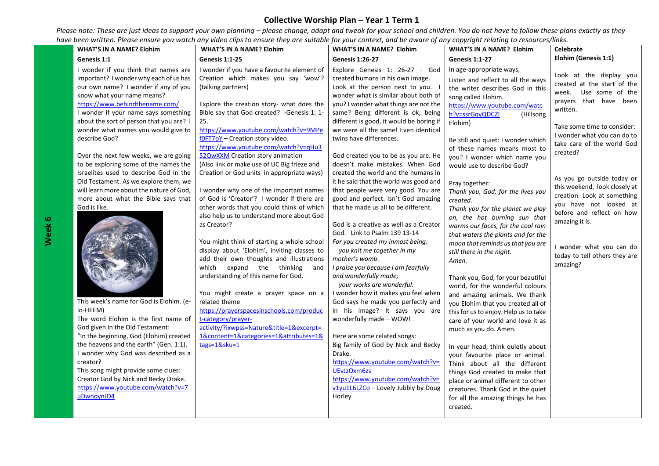| <b>WHAT'S IN A NAME? Elohim</b>                                                                                                                                                                                                                                                                                                                                                                                                                                                                                                                                                                            | <b>WHAT'S IN A NAME? Elohim</b>                                                                                                                                                                                                                                                                                                                                                                                                                                                                                                                                                                                                                                                                                 | <b>WHAT'S IN A NAME? Elohim</b>                                                                                                                                                                                                                                                                                                                                                                                                                                                                                                                                                                                                                                                                                                               | <b>WHAT'S IN A NAME? Elohim</b>                                                                                                                                                                                                                                                                                                                                                                                                                                                                                                                                                                                             | Celebrate                                                                                                                                                                                                                                                                                                                                                                                                                           |
|------------------------------------------------------------------------------------------------------------------------------------------------------------------------------------------------------------------------------------------------------------------------------------------------------------------------------------------------------------------------------------------------------------------------------------------------------------------------------------------------------------------------------------------------------------------------------------------------------------|-----------------------------------------------------------------------------------------------------------------------------------------------------------------------------------------------------------------------------------------------------------------------------------------------------------------------------------------------------------------------------------------------------------------------------------------------------------------------------------------------------------------------------------------------------------------------------------------------------------------------------------------------------------------------------------------------------------------|-----------------------------------------------------------------------------------------------------------------------------------------------------------------------------------------------------------------------------------------------------------------------------------------------------------------------------------------------------------------------------------------------------------------------------------------------------------------------------------------------------------------------------------------------------------------------------------------------------------------------------------------------------------------------------------------------------------------------------------------------|-----------------------------------------------------------------------------------------------------------------------------------------------------------------------------------------------------------------------------------------------------------------------------------------------------------------------------------------------------------------------------------------------------------------------------------------------------------------------------------------------------------------------------------------------------------------------------------------------------------------------------|-------------------------------------------------------------------------------------------------------------------------------------------------------------------------------------------------------------------------------------------------------------------------------------------------------------------------------------------------------------------------------------------------------------------------------------|
| Genesis 1:1                                                                                                                                                                                                                                                                                                                                                                                                                                                                                                                                                                                                | <b>Genesis 1:1-25</b>                                                                                                                                                                                                                                                                                                                                                                                                                                                                                                                                                                                                                                                                                           | <b>Genesis 1:26-27</b>                                                                                                                                                                                                                                                                                                                                                                                                                                                                                                                                                                                                                                                                                                                        | <b>Genesis 1:1-27</b>                                                                                                                                                                                                                                                                                                                                                                                                                                                                                                                                                                                                       | Elohim (Genesis 1:1)                                                                                                                                                                                                                                                                                                                                                                                                                |
| I wonder if you think that names are<br>important? I wonder why each of us has<br>our own name? I wonder if any of you<br>know what your name means?<br>https://www.behindthename.com/<br>I wonder if your name says something<br>about the sort of person that you are? I<br>wonder what names you would give to<br>describe God?<br>Over the next few weeks, we are going<br>to be exploring some of the names the<br>Israelites used to describe God in the<br>Old Testament. As we explore them, we<br>will learn more about the nature of God,<br>more about what the Bible says that<br>God is like. | I wonder if you have a favourite element of<br>Creation which makes you say 'wow'?<br>(talking partners)<br>Explore the creation story- what does the<br>Bible say that God created? - Genesis 1: 1-<br>25.<br>https://www.youtube.com/watch?v=9MPe<br>fOFT7oY - Creation story video.<br>https://www.youtube.com/watch?v=qHu3<br>52QwXXM Creation story animation<br>(Also link or make use of UC Big frieze and<br>Creation or God units in appropriate ways)<br>I wonder why one of the important names<br>of God is 'Creator'? I wonder if there are<br>other words that you could think of which<br>also help us to understand more about God<br>as Creator?<br>You might think of starting a whole school | Explore Genesis 1: $26-27 - God$<br>created humans in his own image.<br>Look at the person next to you.<br>wonder what is similar about both of<br>you? I wonder what things are not the<br>same? Being different is ok, being<br>different is good, it would be boring if<br>we were all the same! Even identical<br>twins have differences.<br>God created you to be as you are. He<br>doesn't make mistakes. When God<br>created the world and the humans in<br>it he said that the world was good and<br>that people were very good. You are<br>good and perfect. Isn't God amazing<br>that he made us all to be different.<br>God is a creative as well as a Creator<br>God. Link to Psalm 139 13-14<br>For you created my inmost being; | -- <i>-------------</i><br>In age-appropriate ways,<br>Listen and reflect to all the ways<br>the writer describes God in this<br>song called Elohim.<br>https://www.youtube.com/watc<br>h?v=ssrGqyQDCZI<br>(Hillsong<br>Elohim)<br>Be still and quiet: I wonder which<br>of these names means most to<br>you? I wonder which name you<br>would use to describe God?<br>Pray together:<br>Thank you, God, for the lives you<br>created.<br>Thank you for the planet we play<br>on, the hot burning sun that<br>warms our faces, for the cool rain<br>that waters the plants and for the<br>moon that reminds us that you are | Look at the display you<br>created at the start of the<br>week.<br>Use some of the<br>prayers that have been<br>written.<br>Take some time to consider:<br>I wonder what you can do to<br>take care of the world God<br>created?<br>As you go outside today or<br>this weekend, look closely at<br>creation. Look at something<br>you have not looked at<br>before and reflect on how<br>amazing it is.<br>I wonder what you can do |
| This week's name for God is Elohim. (e-<br>lo-HEEM)<br>The word Elohim is the first name of<br>God given in the Old Testament:<br>"In the beginning, God (Elohim) created<br>the heavens and the earth" (Gen. 1:1).<br>I wonder why God was described as a<br>creator?<br>This song might provide some clues:<br>Creator God by Nick and Becky Drake.<br>https://www.youtube.com/watch?v=7                                                                                                                                                                                                                 | display about 'Elohim', inviting classes to<br>add their own thoughts and illustrations<br>which expand the thinking<br>and<br>understanding of this name for God.<br>You might create a prayer space on a<br>related theme<br>https://prayerspacesinschools.com/produc<br>t-category/prayer-<br>activity/?ixwpss=Nature&title=1&excerpt=<br>1&content=1&categories=1&attributes=1&<br>tags=1&sku=1                                                                                                                                                                                                                                                                                                             | you knit me together in my<br>mother's womb.<br>I praise you because I am fearfully<br>and wonderfully made;<br>your works are wonderful.<br>I wonder how it makes you feel when<br>God says he made you perfectly and<br>in his image? It says you are<br>wonderfully made - WOW!<br>Here are some related songs:<br>Big family of God by Nick and Becky<br>Drake.<br>https://www.youtube.com/watch?v=<br>UEvJzOxm6zs<br>https://www.youtube.com/watch?v=<br>v1yu1L6LZCo - Lovely Jubbly by Doug                                                                                                                                                                                                                                             | still there in the night.<br>Amen.<br>Thank you, God, for your beautiful<br>world, for the wonderful colours<br>and amazing animals. We thank<br>you Elohim that you created all of<br>this for us to enjoy. Help us to take<br>care of your world and love it as<br>much as you do. Amen.<br>In your head, think quietly about<br>your favourite place or animal.<br>Think about all the different<br>things God created to make that<br>place or animal different to other<br>creatures. Thank God in the quiet                                                                                                           | today to tell others they are<br>amazing?                                                                                                                                                                                                                                                                                                                                                                                           |
| uDwnqynJD4                                                                                                                                                                                                                                                                                                                                                                                                                                                                                                                                                                                                 |                                                                                                                                                                                                                                                                                                                                                                                                                                                                                                                                                                                                                                                                                                                 | Horley                                                                                                                                                                                                                                                                                                                                                                                                                                                                                                                                                                                                                                                                                                                                        | for all the amazing things he has<br>created.                                                                                                                                                                                                                                                                                                                                                                                                                                                                                                                                                                               |                                                                                                                                                                                                                                                                                                                                                                                                                                     |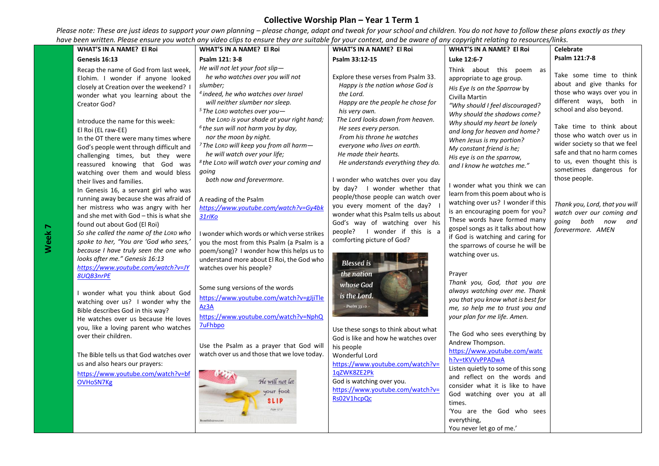| Genesis 16:13                                                                                                                                                                                                                                                                                                                                                                                                                                                                                                                                                                                                                                                                                                                                                                                                                                                                                                                                                                                                                                                                                                                                                                                                                                                                                               |                                                                                                                                                                                                                                                                                                                                                                                                                                                                                                                                                                                                                                                                                                                                                                                                                                                                                                                                                                                                                                                                           |                                                                                                                                                                                                                                                                                                                                                                                                                                                                                                                                                                                                                                                                                                                                                                                                                                                                                                                                                                       | WHAT'S IN A NAME? El Roi                                                                                                                                                                                                                                                                                                                                                                                                                                                                                                                                                                                                                                                                                                                                                                                                                                                                                                                                                                                                                                                                                                                                                | Celebrate                                                                                                                                                                                                                                                                                                                                                                                                                                                     |
|-------------------------------------------------------------------------------------------------------------------------------------------------------------------------------------------------------------------------------------------------------------------------------------------------------------------------------------------------------------------------------------------------------------------------------------------------------------------------------------------------------------------------------------------------------------------------------------------------------------------------------------------------------------------------------------------------------------------------------------------------------------------------------------------------------------------------------------------------------------------------------------------------------------------------------------------------------------------------------------------------------------------------------------------------------------------------------------------------------------------------------------------------------------------------------------------------------------------------------------------------------------------------------------------------------------|---------------------------------------------------------------------------------------------------------------------------------------------------------------------------------------------------------------------------------------------------------------------------------------------------------------------------------------------------------------------------------------------------------------------------------------------------------------------------------------------------------------------------------------------------------------------------------------------------------------------------------------------------------------------------------------------------------------------------------------------------------------------------------------------------------------------------------------------------------------------------------------------------------------------------------------------------------------------------------------------------------------------------------------------------------------------------|-----------------------------------------------------------------------------------------------------------------------------------------------------------------------------------------------------------------------------------------------------------------------------------------------------------------------------------------------------------------------------------------------------------------------------------------------------------------------------------------------------------------------------------------------------------------------------------------------------------------------------------------------------------------------------------------------------------------------------------------------------------------------------------------------------------------------------------------------------------------------------------------------------------------------------------------------------------------------|-------------------------------------------------------------------------------------------------------------------------------------------------------------------------------------------------------------------------------------------------------------------------------------------------------------------------------------------------------------------------------------------------------------------------------------------------------------------------------------------------------------------------------------------------------------------------------------------------------------------------------------------------------------------------------------------------------------------------------------------------------------------------------------------------------------------------------------------------------------------------------------------------------------------------------------------------------------------------------------------------------------------------------------------------------------------------------------------------------------------------------------------------------------------------|---------------------------------------------------------------------------------------------------------------------------------------------------------------------------------------------------------------------------------------------------------------------------------------------------------------------------------------------------------------------------------------------------------------------------------------------------------------|
|                                                                                                                                                                                                                                                                                                                                                                                                                                                                                                                                                                                                                                                                                                                                                                                                                                                                                                                                                                                                                                                                                                                                                                                                                                                                                                             | Psalm 121: 3-8                                                                                                                                                                                                                                                                                                                                                                                                                                                                                                                                                                                                                                                                                                                                                                                                                                                                                                                                                                                                                                                            | Psalm 33:12-15                                                                                                                                                                                                                                                                                                                                                                                                                                                                                                                                                                                                                                                                                                                                                                                                                                                                                                                                                        | Luke 12:6-7                                                                                                                                                                                                                                                                                                                                                                                                                                                                                                                                                                                                                                                                                                                                                                                                                                                                                                                                                                                                                                                                                                                                                             | Psalm 121:7-8                                                                                                                                                                                                                                                                                                                                                                                                                                                 |
| Recap the name of God from last week,<br>Elohim. I wonder if anyone looked<br>slumber;<br>closely at Creation over the weekend? I<br>wonder what you learning about the<br>Creator God?<br>Introduce the name for this week:<br>El Roi (EL raw-EE)<br>In the OT there were many times where<br>God's people went through difficult and<br>challenging times, but they were<br>reassured knowing that God was<br>qoinq<br>watching over them and would bless<br>their lives and families.<br>In Genesis 16, a servant girl who was<br>running away because she was afraid of<br>her mistress who was angry with her<br>and she met with God - this is what she<br>31rlKo<br>found out about God (El Roi)<br>So she called the name of the LORD who<br>spoke to her, "You are 'God who sees,'<br>because I have truly seen the one who<br>looks after me." Genesis 16:13<br>https://www.youtube.com/watch?v=JY<br>8UQB3nrPE<br>I wonder what you think about God<br>watching over us? I wonder why the<br>Az3A<br>Bible describes God in this way?<br>He watches over us because He loves<br><b>7uFhbpo</b><br>you, like a loving parent who watches<br>over their children.<br>The Bible tells us that God watches over<br>us and also hears our prayers:<br>https://www.youtube.com/watch?v=bf<br>OVHoSN7Kg | He will not let your foot slip-<br>he who watches over you will not<br><sup>4</sup> indeed, he who watches over Israel<br>will neither slumber nor sleep.<br>$5$ The LORD watches over you $-$<br>the LORD is your shade at your right hand;<br><sup>6</sup> the sun will not harm you by day,<br>nor the moon by night.<br><sup>7</sup> The LORD will keep you from all harm-<br>he will watch over your life;<br><sup>8</sup> the LORD will watch over your coming and<br>both now and forevermore.<br>A reading of the Psalm<br>https://www.youtube.com/watch?v=Gy4bk<br>I wonder which words or which verse strikes<br>you the most from this Psalm (a Psalm is a<br>poem/song)? I wonder how this helps us to<br>understand more about El Roi, the God who<br>watches over his people?<br>Some sung versions of the words<br>https://www.youtube.com/watch?v=gJjiTle<br>https://www.youtube.com/watch?v=NphQ<br>Use the Psalm as a prayer that God will<br>watch over us and those that we love today.<br>He will not let<br>your foot<br><b>SLIP</b><br>Psalm 121:3 | Explore these verses from Psalm 33.<br>Happy is the nation whose God is<br>the Lord.<br>Happy are the people he chose for<br>his very own.<br>The Lord looks down from heaven.<br>He sees every person.<br>From his throne he watches<br>everyone who lives on earth.<br>He made their hearts.<br>He understands everything they do.<br>I wonder who watches over you day<br>by day? I wonder whether that<br>people/those people can watch over<br>you every moment of the day?<br>wonder what this Psalm tells us about<br>God's way of watching over his<br>people? I wonder if this is a<br>comforting picture of God?<br><b>Blessed</b> is<br>the nation<br>whose God<br>is the Lord.<br>- Psalm 33:12 -<br>Use these songs to think about what<br>God is like and how he watches over<br>his people<br><b>Wonderful Lord</b><br>https://www.youtube.com/watch?v=<br>1qZWK8ZE2Pk<br>God is watching over you.<br>https://www.youtube.com/watch?v=<br>Rs02V1hcpQc | Think about this poem as<br>appropriate to age group.<br>His Eye Is on the Sparrow by<br>Civilla Martin<br>"Why should I feel discouraged?<br>Why should the shadows come?<br>Why should my heart be lonely<br>and long for heaven and home?<br>When Jesus is my portion?<br>My constant friend is he;<br>His eye is on the sparrow,<br>and I know he watches me."<br>I wonder what you think we can<br>learn from this poem about who is<br>watching over us? I wonder if this<br>is an encouraging poem for you?<br>These words have formed many<br>gospel songs as it talks about how<br>if God is watching and caring for<br>the sparrows of course he will be<br>watching over us.<br>Prayer<br>Thank you, God, that you are<br>always watching over me. Thank<br>you that you know what is best for<br>me, so help me to trust you and<br>your plan for me life. Amen.<br>The God who sees everything by<br>Andrew Thompson.<br>https://www.youtube.com/watc<br>h?v=tKVVvPPADwA<br>Listen quietly to some of this song<br>and reflect on the words and<br>consider what it is like to have<br>God watching over you at all<br>times.<br>'You are the God who sees | Take some time to think<br>about and give thanks for<br>those who ways over you in<br>different ways, both in<br>school and also beyond.<br>Take time to think about<br>those who watch over us in<br>wider society so that we feel<br>safe and that no harm comes<br>to us, even thought this is<br>sometimes dangerous for<br>those people.<br>Thank you, Lord, that you will<br>watch over our coming and<br>both now<br>going<br>and<br>forevermore. AMEN |